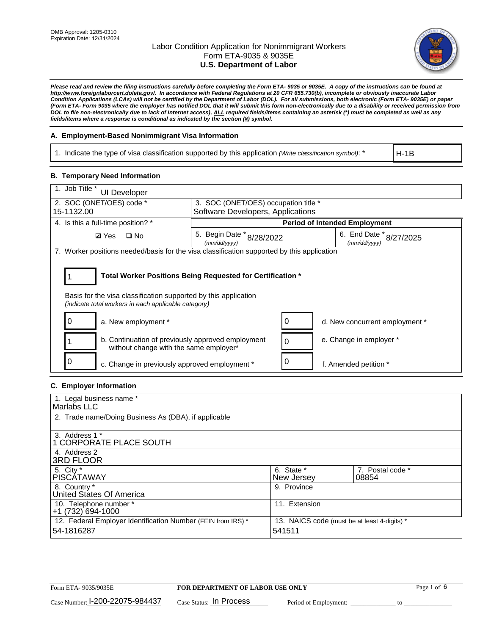

*Please read and review the filing instructions carefully before completing the Form ETA- 9035 or 9035E. A copy of the instructions can be found at http://www.foreignlaborcert.doleta.gov/. In accordance with Federal Regulations at 20 CFR 655.730(b), incomplete or obviously inaccurate Labor Condition Applications (LCAs) will not be certified by the Department of Labor (DOL). For all submissions, both electronic (Form ETA- 9035E) or paper (Form ETA- Form 9035 where the employer has notified DOL that it will submit this form non-electronically due to a disability or received permission from DOL to file non-electronically due to lack of Internet access), ALL required fields/items containing an asterisk (\*) must be completed as well as any fields/items where a response is conditional as indicated by the section (§) symbol.* 

### **A. Employment-Based Nonimmigrant Visa Information**

1. Indicate the type of visa classification supported by this application *(Write classification symbol)*: \*

H-1B

### **B. Temporary Need Information**

| 1. Job Title *<br><b>UI Developer</b>                                                                                                                                                 |                                                                           |                                         |  |  |
|---------------------------------------------------------------------------------------------------------------------------------------------------------------------------------------|---------------------------------------------------------------------------|-----------------------------------------|--|--|
| 2. SOC (ONET/OES) code *<br>15-1132.00                                                                                                                                                | 3. SOC (ONET/OES) occupation title *<br>Software Developers, Applications |                                         |  |  |
|                                                                                                                                                                                       |                                                                           |                                         |  |  |
| 4. Is this a full-time position? *                                                                                                                                                    |                                                                           | <b>Period of Intended Employment</b>    |  |  |
| $\Box$ No<br><b>Ø</b> Yes                                                                                                                                                             | 5. Begin Date * 8/28/2022<br>(mm/dd/yyyy)                                 | 6. End Date * 8/27/2025<br>(mm/dd/vvvv) |  |  |
| 7. Worker positions needed/basis for the visa classification supported by this application                                                                                            |                                                                           |                                         |  |  |
| Total Worker Positions Being Requested for Certification *<br>Basis for the visa classification supported by this application<br>(indicate total workers in each applicable category) |                                                                           |                                         |  |  |
| a. New employment *                                                                                                                                                                   |                                                                           | d. New concurrent employment *          |  |  |
| b. Continuation of previously approved employment<br>without change with the same employer*                                                                                           |                                                                           | e. Change in employer *                 |  |  |
| c. Change in previously approved employment *                                                                                                                                         |                                                                           | f. Amended petition *                   |  |  |

### **C. Employer Information**

| 1. Legal business name *                                     |                                              |                  |
|--------------------------------------------------------------|----------------------------------------------|------------------|
| Marlabs LLC                                                  |                                              |                  |
|                                                              |                                              |                  |
| 2. Trade name/Doing Business As (DBA), if applicable         |                                              |                  |
|                                                              |                                              |                  |
| 3. Address 1 *                                               |                                              |                  |
| 1 CORPORATE PLACE SOUTH                                      |                                              |                  |
| 4. Address 2                                                 |                                              |                  |
| <b>3RD FLOOR</b>                                             |                                              |                  |
| 5. City *                                                    | 6. State *                                   | 7. Postal code * |
| PISCÁTAWAY                                                   | New Jersey                                   | 08854            |
| 8. Country *                                                 | 9. Province                                  |                  |
| United States Of America                                     |                                              |                  |
| 10. Telephone number *                                       | 11. Extension                                |                  |
| +1 (732) 694-1000                                            |                                              |                  |
| 12. Federal Employer Identification Number (FEIN from IRS) * | 13. NAICS code (must be at least 4-digits) * |                  |
| 54-1816287                                                   | 541511                                       |                  |
|                                                              |                                              |                  |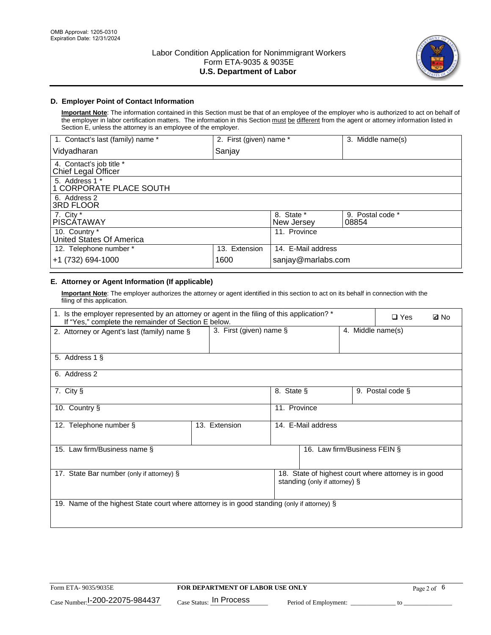

### **D. Employer Point of Contact Information**

**Important Note**: The information contained in this Section must be that of an employee of the employer who is authorized to act on behalf of the employer in labor certification matters. The information in this Section must be different from the agent or attorney information listed in Section E, unless the attorney is an employee of the employer.

| 1. Contact's last (family) name *               | 2. First (given) name * |                          | 3. Middle name(s)         |
|-------------------------------------------------|-------------------------|--------------------------|---------------------------|
| Vidyadharan                                     | Sanjay                  |                          |                           |
| 4. Contact's job title *<br>Chief Legal Officer |                         |                          |                           |
| 5. Address 1 *<br>1 CORPORATE PLACE SOUTH       |                         |                          |                           |
| 6. Address 2<br><b>3RD FLOOR</b>                |                         |                          |                           |
| 7. City *<br><b>PISCÁTAWAY</b>                  |                         | 8. State *<br>New Jersey | 9. Postal code *<br>08854 |
| 10. Country *<br>United States Of America       |                         | 11. Province             |                           |
| 12. Telephone number *                          | 13. Extension           | 14. E-Mail address       |                           |
| +1 (732) 694-1000                               | 1600                    | sanjay@marlabs.com       |                           |

## **E. Attorney or Agent Information (If applicable)**

**Important Note**: The employer authorizes the attorney or agent identified in this section to act on its behalf in connection with the filing of this application.

| 1. Is the employer represented by an attorney or agent in the filing of this application? *<br>If "Yes," complete the remainder of Section E below. |                            |              |                               | $\Box$ Yes        | <b>ØNo</b>                                           |  |
|-----------------------------------------------------------------------------------------------------------------------------------------------------|----------------------------|--------------|-------------------------------|-------------------|------------------------------------------------------|--|
| 2. Attorney or Agent's last (family) name §                                                                                                         | 3. First (given) name $\S$ |              |                               | 4. Middle name(s) |                                                      |  |
| 5. Address 1 §                                                                                                                                      |                            |              |                               |                   |                                                      |  |
| 6. Address 2                                                                                                                                        |                            |              |                               |                   |                                                      |  |
| 7. City §                                                                                                                                           |                            | 8. State §   |                               |                   | 9. Postal code §                                     |  |
| 10. Country §                                                                                                                                       |                            | 11. Province |                               |                   |                                                      |  |
| 12. Telephone number §                                                                                                                              | 13. Extension              |              | 14. E-Mail address            |                   |                                                      |  |
| 15. Law firm/Business name §                                                                                                                        |                            |              | 16. Law firm/Business FEIN §  |                   |                                                      |  |
| 17. State Bar number (only if attorney) §                                                                                                           |                            |              | standing (only if attorney) § |                   | 18. State of highest court where attorney is in good |  |
| 19. Name of the highest State court where attorney is in good standing (only if attorney) §                                                         |                            |              |                               |                   |                                                      |  |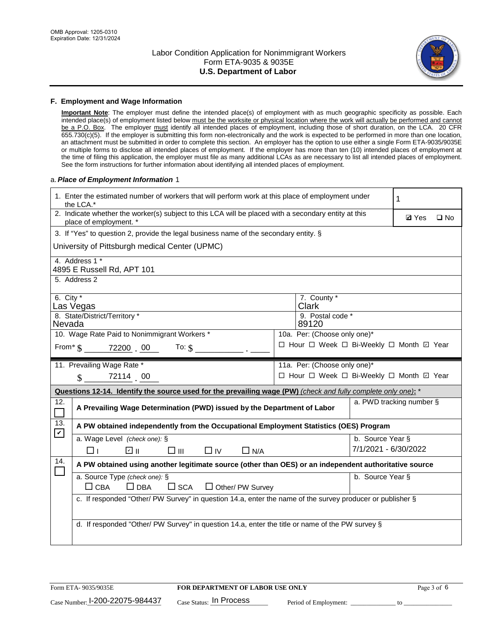

#### **F. Employment and Wage Information**

**Important Note**: The employer must define the intended place(s) of employment with as much geographic specificity as possible. Each intended place(s) of employment listed below must be the worksite or physical location where the work will actually be performed and cannot be a P.O. Box. The employer must identify all intended places of employment, including those of short duration, on the LCA. 20 CFR 655.730(c)(5). If the employer is submitting this form non-electronically and the work is expected to be performed in more than one location, an attachment must be submitted in order to complete this section. An employer has the option to use either a single Form ETA-9035/9035E or multiple forms to disclose all intended places of employment. If the employer has more than ten (10) intended places of employment at the time of filing this application, the employer must file as many additional LCAs as are necessary to list all intended places of employment. See the form instructions for further information about identifying all intended places of employment.

#### a.*Place of Employment Information* 1

| 1. Enter the estimated number of workers that will perform work at this place of employment under<br>the LCA.* |                                                                                                                                |  |                              |                      | 1                                        |  |  |
|----------------------------------------------------------------------------------------------------------------|--------------------------------------------------------------------------------------------------------------------------------|--|------------------------------|----------------------|------------------------------------------|--|--|
|                                                                                                                | 2. Indicate whether the worker(s) subject to this LCA will be placed with a secondary entity at this<br>place of employment. * |  |                              |                      |                                          |  |  |
|                                                                                                                | 3. If "Yes" to question 2, provide the legal business name of the secondary entity. §                                          |  |                              |                      |                                          |  |  |
|                                                                                                                | University of Pittsburgh medical Center (UPMC)                                                                                 |  |                              |                      |                                          |  |  |
|                                                                                                                | 4. Address 1 *<br>4895 E Russell Rd, APT 101                                                                                   |  |                              |                      |                                          |  |  |
|                                                                                                                | 5. Address 2                                                                                                                   |  |                              |                      |                                          |  |  |
| 6. City $*$                                                                                                    | Las Vegas                                                                                                                      |  | 7. County *<br><b>Clark</b>  |                      |                                          |  |  |
| Nevada                                                                                                         | 8. State/District/Territory *                                                                                                  |  | 9. Postal code *<br>89120    |                      |                                          |  |  |
|                                                                                                                | 10. Wage Rate Paid to Nonimmigrant Workers *                                                                                   |  | 10a. Per: (Choose only one)* |                      |                                          |  |  |
|                                                                                                                | From* \$ 72200 00<br>To: $$$                                                                                                   |  |                              |                      | □ Hour □ Week □ Bi-Weekly □ Month ☑ Year |  |  |
|                                                                                                                | 11. Prevailing Wage Rate *                                                                                                     |  | 11a. Per: (Choose only one)* |                      |                                          |  |  |
|                                                                                                                | $\sin 7211400$                                                                                                                 |  |                              |                      | □ Hour □ Week □ Bi-Weekly □ Month ☑ Year |  |  |
|                                                                                                                | Questions 12-14. Identify the source used for the prevailing wage (PW) (check and fully complete only one): *                  |  |                              |                      |                                          |  |  |
| 12.<br>$\Box$                                                                                                  | A Prevailing Wage Determination (PWD) issued by the Department of Labor                                                        |  |                              |                      | a. PWD tracking number §                 |  |  |
| 13.<br>$\boldsymbol{\mathcal{V}}$                                                                              | A PW obtained independently from the Occupational Employment Statistics (OES) Program                                          |  |                              |                      |                                          |  |  |
|                                                                                                                | a. Wage Level (check one): §                                                                                                   |  |                              | b. Source Year §     |                                          |  |  |
|                                                                                                                | பெ<br>□⊪<br>$\Box$ IV<br>$\Box$ N/A<br>□⊥                                                                                      |  |                              | 7/1/2021 - 6/30/2022 |                                          |  |  |
| 14.                                                                                                            | A PW obtained using another legitimate source (other than OES) or an independent authoritative source                          |  |                              |                      |                                          |  |  |
|                                                                                                                | a. Source Type (check one): §<br>b. Source Year §                                                                              |  |                              |                      |                                          |  |  |
|                                                                                                                | $\Box$ CBA<br>$\Box$ DBA<br>$\square$ SCA<br>$\Box$ Other/ PW Survey                                                           |  |                              |                      |                                          |  |  |
|                                                                                                                | c. If responded "Other/ PW Survey" in question 14.a, enter the name of the survey producer or publisher §                      |  |                              |                      |                                          |  |  |
|                                                                                                                |                                                                                                                                |  |                              |                      |                                          |  |  |
|                                                                                                                | d. If responded "Other/ PW Survey" in question 14.a, enter the title or name of the PW survey §                                |  |                              |                      |                                          |  |  |
|                                                                                                                |                                                                                                                                |  |                              |                      |                                          |  |  |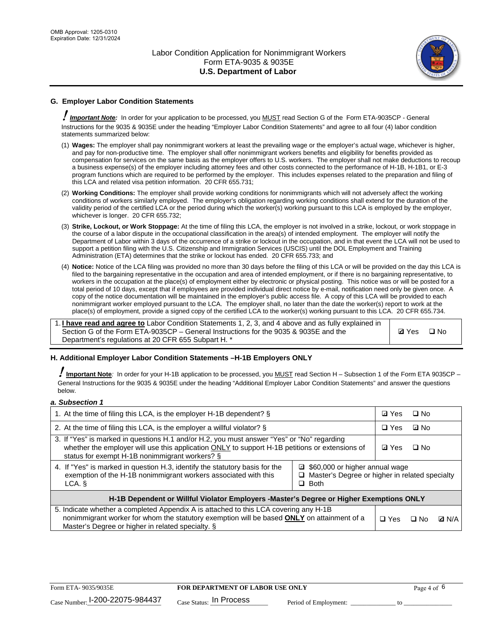

## **G. Employer Labor Condition Statements**

! *Important Note:* In order for your application to be processed, you MUST read Section G of the Form ETA-9035CP - General Instructions for the 9035 & 9035E under the heading "Employer Labor Condition Statements" and agree to all four (4) labor condition statements summarized below:

- (1) **Wages:** The employer shall pay nonimmigrant workers at least the prevailing wage or the employer's actual wage, whichever is higher, and pay for non-productive time. The employer shall offer nonimmigrant workers benefits and eligibility for benefits provided as compensation for services on the same basis as the employer offers to U.S. workers. The employer shall not make deductions to recoup a business expense(s) of the employer including attorney fees and other costs connected to the performance of H-1B, H-1B1, or E-3 program functions which are required to be performed by the employer. This includes expenses related to the preparation and filing of this LCA and related visa petition information. 20 CFR 655.731;
- (2) **Working Conditions:** The employer shall provide working conditions for nonimmigrants which will not adversely affect the working conditions of workers similarly employed. The employer's obligation regarding working conditions shall extend for the duration of the validity period of the certified LCA or the period during which the worker(s) working pursuant to this LCA is employed by the employer, whichever is longer. 20 CFR 655.732;
- (3) **Strike, Lockout, or Work Stoppage:** At the time of filing this LCA, the employer is not involved in a strike, lockout, or work stoppage in the course of a labor dispute in the occupational classification in the area(s) of intended employment. The employer will notify the Department of Labor within 3 days of the occurrence of a strike or lockout in the occupation, and in that event the LCA will not be used to support a petition filing with the U.S. Citizenship and Immigration Services (USCIS) until the DOL Employment and Training Administration (ETA) determines that the strike or lockout has ended. 20 CFR 655.733; and
- (4) **Notice:** Notice of the LCA filing was provided no more than 30 days before the filing of this LCA or will be provided on the day this LCA is filed to the bargaining representative in the occupation and area of intended employment, or if there is no bargaining representative, to workers in the occupation at the place(s) of employment either by electronic or physical posting. This notice was or will be posted for a total period of 10 days, except that if employees are provided individual direct notice by e-mail, notification need only be given once. A copy of the notice documentation will be maintained in the employer's public access file. A copy of this LCA will be provided to each nonimmigrant worker employed pursuant to the LCA. The employer shall, no later than the date the worker(s) report to work at the place(s) of employment, provide a signed copy of the certified LCA to the worker(s) working pursuant to this LCA. 20 CFR 655.734.

1. **I have read and agree to** Labor Condition Statements 1, 2, 3, and 4 above and as fully explained in Section G of the Form ETA-9035CP – General Instructions for the 9035 & 9035E and the Department's regulations at 20 CFR 655 Subpart H. \*

**Ø**Yes ロNo

### **H. Additional Employer Labor Condition Statements –H-1B Employers ONLY**

!**Important Note***:* In order for your H-1B application to be processed, you MUST read Section H – Subsection 1 of the Form ETA 9035CP – General Instructions for the 9035 & 9035E under the heading "Additional Employer Labor Condition Statements" and answer the questions below.

#### *a. Subsection 1*

| 1. At the time of filing this LCA, is the employer H-1B dependent? §                                                                                                                                                                                               |  |  | $\Box$ No |              |
|--------------------------------------------------------------------------------------------------------------------------------------------------------------------------------------------------------------------------------------------------------------------|--|--|-----------|--------------|
| 2. At the time of filing this LCA, is the employer a willful violator? $\S$                                                                                                                                                                                        |  |  | ⊡ No      |              |
| 3. If "Yes" is marked in questions H.1 and/or H.2, you must answer "Yes" or "No" regarding<br>whether the employer will use this application ONLY to support H-1B petitions or extensions of<br>status for exempt H-1B nonimmigrant workers? §                     |  |  | $\Box$ No |              |
| 4. If "Yes" is marked in question H.3, identify the statutory basis for the<br>□ \$60,000 or higher annual wage<br>exemption of the H-1B nonimmigrant workers associated with this<br>$\Box$ Master's Degree or higher in related specialty<br>$\Box$ Both<br>LCA. |  |  |           |              |
| H-1B Dependent or Willful Violator Employers -Master's Degree or Higher Exemptions ONLY                                                                                                                                                                            |  |  |           |              |
| 5. Indicate whether a completed Appendix A is attached to this LCA covering any H-1B<br>nonimmigrant worker for whom the statutory exemption will be based <b>ONLY</b> on attainment of a<br>Master's Degree or higher in related specialty. §                     |  |  | ⊡ No      | <b>D</b> N/A |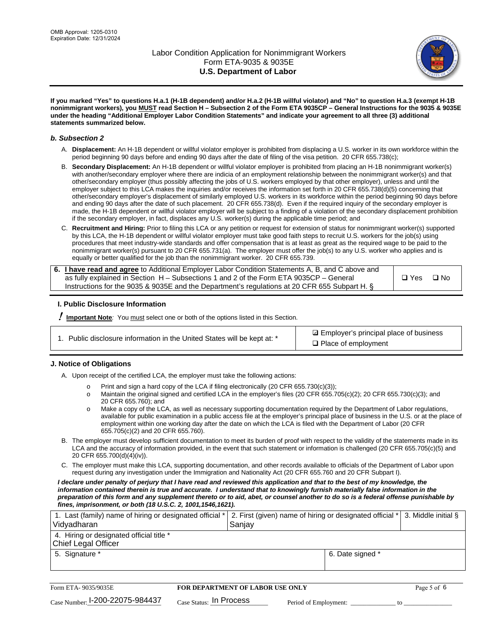

**If you marked "Yes" to questions H.a.1 (H-1B dependent) and/or H.a.2 (H-1B willful violator) and "No" to question H.a.3 (exempt H-1B nonimmigrant workers), you MUST read Section H – Subsection 2 of the Form ETA 9035CP – General Instructions for the 9035 & 9035E under the heading "Additional Employer Labor Condition Statements" and indicate your agreement to all three (3) additional statements summarized below.**

#### *b. Subsection 2*

- A. **Displacement:** An H-1B dependent or willful violator employer is prohibited from displacing a U.S. worker in its own workforce within the period beginning 90 days before and ending 90 days after the date of filing of the visa petition. 20 CFR 655.738(c);
- B. **Secondary Displacement:** An H-1B dependent or willful violator employer is prohibited from placing an H-1B nonimmigrant worker(s) with another/secondary employer where there are indicia of an employment relationship between the nonimmigrant worker(s) and that other/secondary employer (thus possibly affecting the jobs of U.S. workers employed by that other employer), unless and until the employer subject to this LCA makes the inquiries and/or receives the information set forth in 20 CFR 655.738(d)(5) concerning that other/secondary employer's displacement of similarly employed U.S. workers in its workforce within the period beginning 90 days before and ending 90 days after the date of such placement. 20 CFR 655.738(d). Even if the required inquiry of the secondary employer is made, the H-1B dependent or willful violator employer will be subject to a finding of a violation of the secondary displacement prohibition if the secondary employer, in fact, displaces any U.S. worker(s) during the applicable time period; and
- C. **Recruitment and Hiring:** Prior to filing this LCA or any petition or request for extension of status for nonimmigrant worker(s) supported by this LCA, the H-1B dependent or willful violator employer must take good faith steps to recruit U.S. workers for the job(s) using procedures that meet industry-wide standards and offer compensation that is at least as great as the required wage to be paid to the nonimmigrant worker(s) pursuant to 20 CFR 655.731(a). The employer must offer the job(s) to any U.S. worker who applies and is equally or better qualified for the job than the nonimmigrant worker. 20 CFR 655.739.

| 6. I have read and agree to Additional Employer Labor Condition Statements A, B, and C above and |       |           |
|--------------------------------------------------------------------------------------------------|-------|-----------|
| as fully explained in Section H – Subsections 1 and 2 of the Form ETA 9035CP – General           | □ Yes | $\Box$ No |
| Instructions for the 9035 & 9035E and the Department's regulations at 20 CFR 655 Subpart H. §    |       |           |

### **I. Public Disclosure Information**

! **Important Note***:* You must select one or both of the options listed in this Section.

**sqrt** Employer's principal place of business □ Place of employment

### **J. Notice of Obligations**

A. Upon receipt of the certified LCA, the employer must take the following actions:

- o Print and sign a hard copy of the LCA if filing electronically (20 CFR 655.730(c)(3));<br>
Maintain the original signed and certified LCA in the employer's files (20 CFR 655.7
- Maintain the original signed and certified LCA in the employer's files (20 CFR 655.705(c)(2); 20 CFR 655.730(c)(3); and 20 CFR 655.760); and
- o Make a copy of the LCA, as well as necessary supporting documentation required by the Department of Labor regulations, available for public examination in a public access file at the employer's principal place of business in the U.S. or at the place of employment within one working day after the date on which the LCA is filed with the Department of Labor (20 CFR 655.705(c)(2) and 20 CFR 655.760).
- B. The employer must develop sufficient documentation to meet its burden of proof with respect to the validity of the statements made in its LCA and the accuracy of information provided, in the event that such statement or information is challenged (20 CFR 655.705(c)(5) and 20 CFR 655.700(d)(4)(iv)).
- C. The employer must make this LCA, supporting documentation, and other records available to officials of the Department of Labor upon request during any investigation under the Immigration and Nationality Act (20 CFR 655.760 and 20 CFR Subpart I).

*I declare under penalty of perjury that I have read and reviewed this application and that to the best of my knowledge, the*  information contained therein is true and accurate. I understand that to knowingly furnish materially false information in the *preparation of this form and any supplement thereto or to aid, abet, or counsel another to do so is a federal offense punishable by fines, imprisonment, or both (18 U.S.C. 2, 1001,1546,1621).*

| 1. Last (family) name of hiring or designated official *<br>Vidyadharan | 2. First (given) name of hiring or designated official *<br>Sanjay | 3. Middle initial § |
|-------------------------------------------------------------------------|--------------------------------------------------------------------|---------------------|
| 4. Hiring or designated official title *<br><b>Chief Legal Officer</b>  |                                                                    |                     |
| 5. Signature *                                                          | 6. Date signed *                                                   |                     |